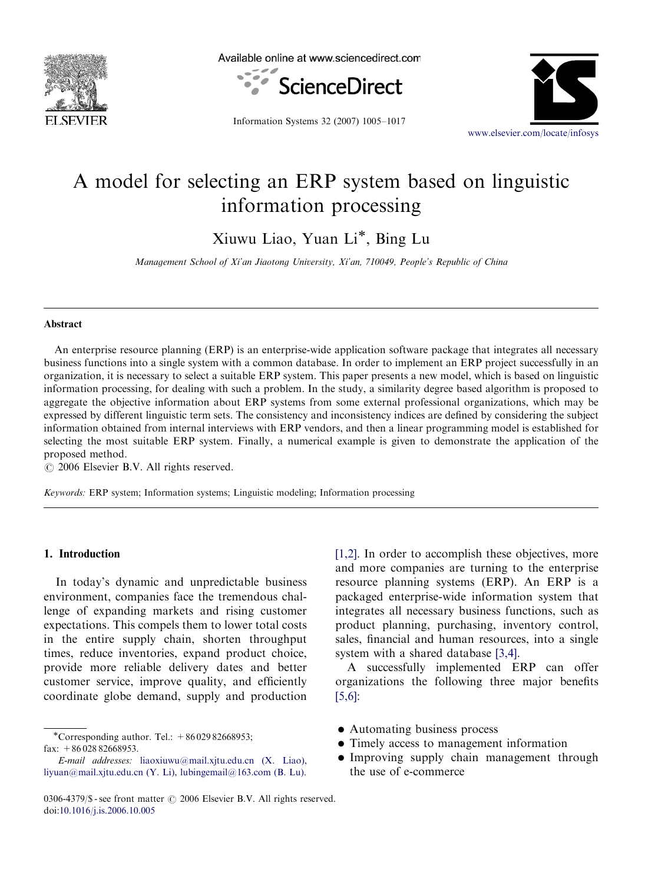

Available online at www.sciencedirect.com



Information Systems 32 (2007) 1005–1017



## A model for selecting an ERP system based on linguistic information processing

Xiuwu Liao, Yuan Li\*, Bing Lu

Management School of Xi'an Jiaotong University, Xi'an, 710049, People's Republic of China

## Abstract

An enterprise resource planning (ERP) is an enterprise-wide application software package that integrates all necessary business functions into a single system with a common database. In order to implement an ERP project successfully in an organization, it is necessary to select a suitable ERP system. This paper presents a new model, which is based on linguistic information processing, for dealing with such a problem. In the study, a similarity degree based algorithm is proposed to aggregate the objective information about ERP systems from some external professional organizations, which may be expressed by different linguistic term sets. The consistency and inconsistency indices are defined by considering the subject information obtained from internal interviews with ERP vendors, and then a linear programming model is established for selecting the most suitable ERP system. Finally, a numerical example is given to demonstrate the application of the proposed method.

 $\odot$  2006 Elsevier B.V. All rights reserved.

Keywords: ERP system; Information systems; Linguistic modeling; Information processing

## 1. Introduction

In today's dynamic and unpredictable business environment, companies face the tremendous challenge of expanding markets and rising customer expectations. This compels them to lower total costs in the entire supply chain, shorten throughput times, reduce inventories, expand product choice, provide more reliable delivery dates and better customer service, improve quality, and efficiently coordinate globe demand, supply and production

\*Corresponding author. Tel.: +8602982668953; fax:  $+8602882668953$ .

[\[1,2\]](#page--1-0). In order to accomplish these objectives, more and more companies are turning to the enterprise resource planning systems (ERP). An ERP is a packaged enterprise-wide information system that integrates all necessary business functions, such as product planning, purchasing, inventory control, sales, financial and human resources, into a single system with a shared database [\[3,4\].](#page--1-0)

A successfully implemented ERP can offer organizations the following three major benefits [\[5,6\]](#page--1-0):

- Automating business process
- Timely access to management information
- Improving supply chain management through the use of e-commerce

E-mail addresses: [liaoxiuwu@mail.xjtu.edu.cn \(X. Liao\),](mailto:liaoxiuwu@mail.xjtu.edu.cn) [liyuan@mail.xjtu.edu.cn \(Y. Li\),](mailto:liyuan@mail.xjtu.edu.cn) [lubingemail@163.com \(B. Lu\)](mailto:lubingemail@163.com).

<sup>0306-4379/\$ -</sup> see front matter  $\odot$  2006 Elsevier B.V. All rights reserved. doi:[10.1016/j.is.2006.10.005](dx.doi.org/10.1016/j.is.2006.10.005)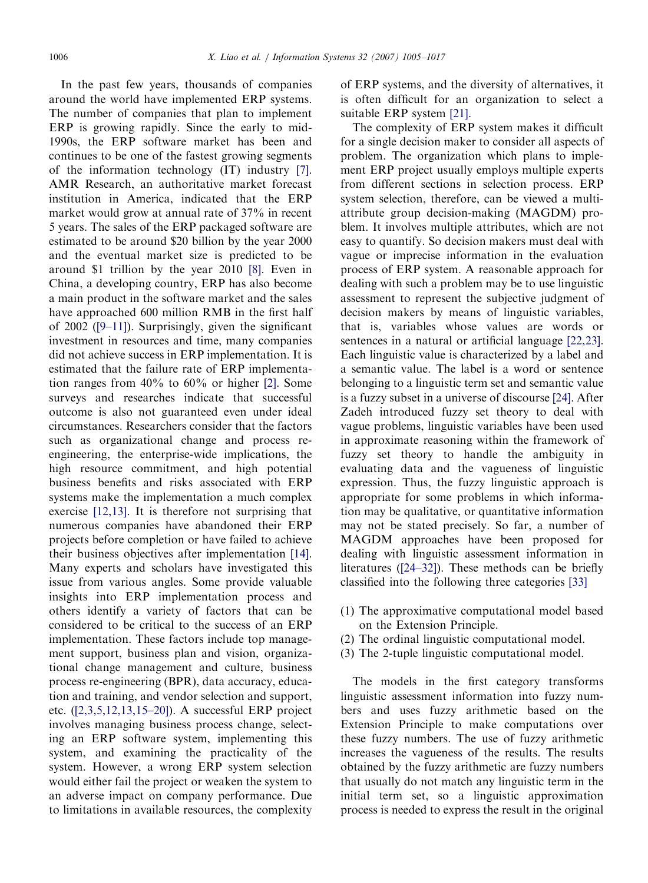In the past few years, thousands of companies around the world have implemented ERP systems. The number of companies that plan to implement ERP is growing rapidly. Since the early to mid-1990s, the ERP software market has been and continues to be one of the fastest growing segments of the information technology (IT) industry [\[7\].](#page--1-0) AMR Research, an authoritative market forecast institution in America, indicated that the ERP market would grow at annual rate of 37% in recent 5 years. The sales of the ERP packaged software are estimated to be around \$20 billion by the year 2000 and the eventual market size is predicted to be around \$1 trillion by the year 2010 [\[8\].](#page--1-0) Even in China, a developing country, ERP has also become a main product in the software market and the sales have approached 600 million RMB in the first half of 2002 [\(\[9–11\]\)](#page--1-0). Surprisingly, given the significant investment in resources and time, many companies did not achieve success in ERP implementation. It is estimated that the failure rate of ERP implementation ranges from 40% to 60% or higher [\[2\]](#page--1-0). Some surveys and researches indicate that successful outcome is also not guaranteed even under ideal circumstances. Researchers consider that the factors such as organizational change and process reengineering, the enterprise-wide implications, the high resource commitment, and high potential business benefits and risks associated with ERP systems make the implementation a much complex exercise [\[12,13\].](#page--1-0) It is therefore not surprising that numerous companies have abandoned their ERP projects before completion or have failed to achieve their business objectives after implementation [\[14\].](#page--1-0) Many experts and scholars have investigated this issue from various angles. Some provide valuable insights into ERP implementation process and others identify a variety of factors that can be considered to be critical to the success of an ERP implementation. These factors include top management support, business plan and vision, organizational change management and culture, business process re-engineering (BPR), data accuracy, education and training, and vendor selection and support, etc. [\(\[2,3,5,12,13,15–20\]\)](#page--1-0). A successful ERP project involves managing business process change, selecting an ERP software system, implementing this system, and examining the practicality of the system. However, a wrong ERP system selection would either fail the project or weaken the system to an adverse impact on company performance. Due to limitations in available resources, the complexity of ERP systems, and the diversity of alternatives, it is often difficult for an organization to select a suitable ERP system [\[21\].](#page--1-0)

The complexity of ERP system makes it difficult for a single decision maker to consider all aspects of problem. The organization which plans to implement ERP project usually employs multiple experts from different sections in selection process. ERP system selection, therefore, can be viewed a multiattribute group decision-making (MAGDM) problem. It involves multiple attributes, which are not easy to quantify. So decision makers must deal with vague or imprecise information in the evaluation process of ERP system. A reasonable approach for dealing with such a problem may be to use linguistic assessment to represent the subjective judgment of decision makers by means of linguistic variables, that is, variables whose values are words or sentences in a natural or artificial language [\[22,23\].](#page--1-0) Each linguistic value is characterized by a label and a semantic value. The label is a word or sentence belonging to a linguistic term set and semantic value is a fuzzy subset in a universe of discourse [\[24\].](#page--1-0) After Zadeh introduced fuzzy set theory to deal with vague problems, linguistic variables have been used in approximate reasoning within the framework of fuzzy set theory to handle the ambiguity in evaluating data and the vagueness of linguistic expression. Thus, the fuzzy linguistic approach is appropriate for some problems in which information may be qualitative, or quantitative information may not be stated precisely. So far, a number of MAGDM approaches have been proposed for dealing with linguistic assessment information in literatures ([\[24–32\]](#page--1-0)). These methods can be briefly classified into the following three categories [\[33\]](#page--1-0)

- (1) The approximative computational model based on the Extension Principle.
- (2) The ordinal linguistic computational model.
- (3) The 2-tuple linguistic computational model.

The models in the first category transforms linguistic assessment information into fuzzy numbers and uses fuzzy arithmetic based on the Extension Principle to make computations over these fuzzy numbers. The use of fuzzy arithmetic increases the vagueness of the results. The results obtained by the fuzzy arithmetic are fuzzy numbers that usually do not match any linguistic term in the initial term set, so a linguistic approximation process is needed to express the result in the original